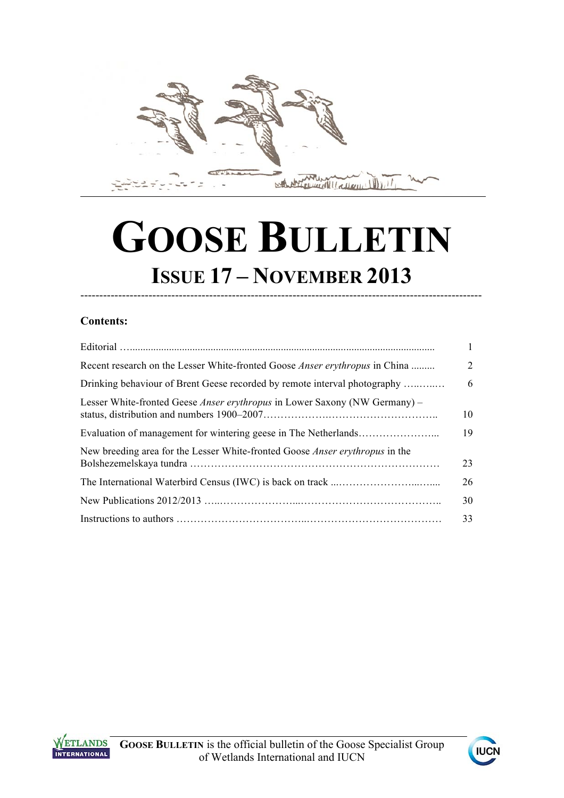

# **GOOSE BULLETIN ISSUE 17 – NOVEMBER 2013**

----------------------------------------------------------------------------------------------------------

## **Contents:**

| $\mathbf{1}$   |
|----------------|
| $\overline{2}$ |
| 6              |
| 10             |
| 19             |
| 23             |
| 26             |
| 30             |
| 33             |
|                |



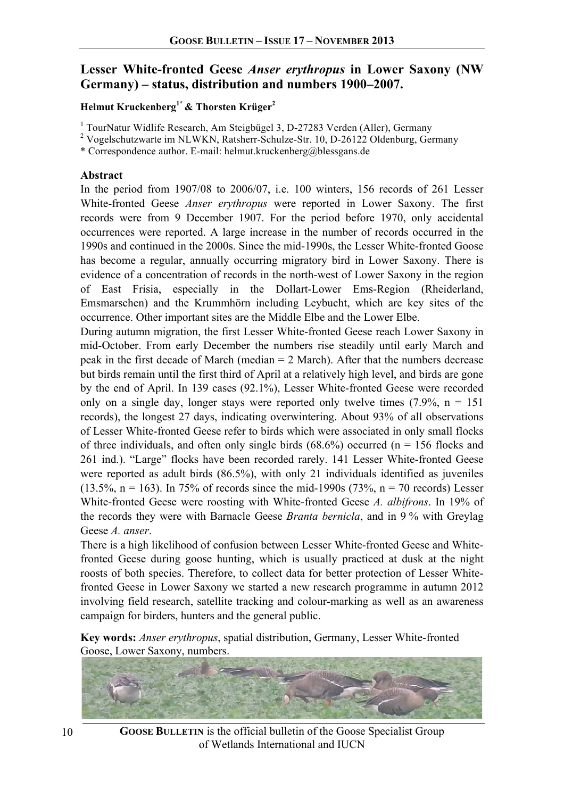## **Lesser White-fronted Geese** *Anser erythropus* **in Lower Saxony (NW Germany) – status, distribution and numbers 1900–2007.**

## **Helmut Kruckenberg1\* & Thorsten Krüger2**

<sup>1</sup> TourNatur Widlife Research, Am Steigbügel 3, D-27283 Verden (Aller), Germany

<sup>2</sup> Vogelschutzwarte im NLWKN, Ratsherr-Schulze-Str. 10, D-26122 Oldenburg, Germany

\* Correspondence author. E-mail: helmut.kruckenberg@blessgans.de

### **Abstract**

In the period from 1907/08 to 2006/07, i.e. 100 winters, 156 records of 261 Lesser White-fronted Geese *Anser erythropus* were reported in Lower Saxony. The first records were from 9 December 1907. For the period before 1970, only accidental occurrences were reported. A large increase in the number of records occurred in the 1990s and continued in the 2000s. Since the mid-1990s, the Lesser White-fronted Goose has become a regular, annually occurring migratory bird in Lower Saxony. There is evidence of a concentration of records in the north-west of Lower Saxony in the region of East Frisia, especially in the Dollart-Lower Ems-Region (Rheiderland, Emsmarschen) and the Krummhörn including Leybucht, which are key sites of the occurrence. Other important sites are the Middle Elbe and the Lower Elbe.

During autumn migration, the first Lesser White-fronted Geese reach Lower Saxony in mid-October. From early December the numbers rise steadily until early March and peak in the first decade of March (median = 2 March). After that the numbers decrease but birds remain until the first third of April at a relatively high level, and birds are gone by the end of April. In 139 cases (92.1%), Lesser White-fronted Geese were recorded only on a single day, longer stays were reported only twelve times  $(7.9\%$ , n = 151 records), the longest 27 days, indicating overwintering. About 93% of all observations of Lesser White-fronted Geese refer to birds which were associated in only small flocks of three individuals, and often only single birds  $(68.6%)$  occurred (n = 156 flocks and 261 ind.). "Large" flocks have been recorded rarely. 141 Lesser White-fronted Geese were reported as adult birds (86.5%), with only 21 individuals identified as juveniles (13.5%, n = 163). In 75% of records since the mid-1990s (73%, n = 70 records) Lesser White-fronted Geese were roosting with White-fronted Geese *A. albifrons*. In 19% of the records they were with Barnacle Geese *Branta bernicla*, and in 9 % with Greylag Geese *A. anser*.

There is a high likelihood of confusion between Lesser White-fronted Geese and Whitefronted Geese during goose hunting, which is usually practiced at dusk at the night roosts of both species. Therefore, to collect data for better protection of Lesser Whitefronted Geese in Lower Saxony we started a new research programme in autumn 2012 involving field research, satellite tracking and colour-marking as well as an awareness campaign for birders, hunters and the general public.

**Key words:** *Anser erythropus*, spatial distribution, Germany, Lesser White-fronted Goose, Lower Saxony, numbers.



**GOOSE BULLETIN** is the official bulletin of the Goose Specialist Group of Wetlands International and IUCN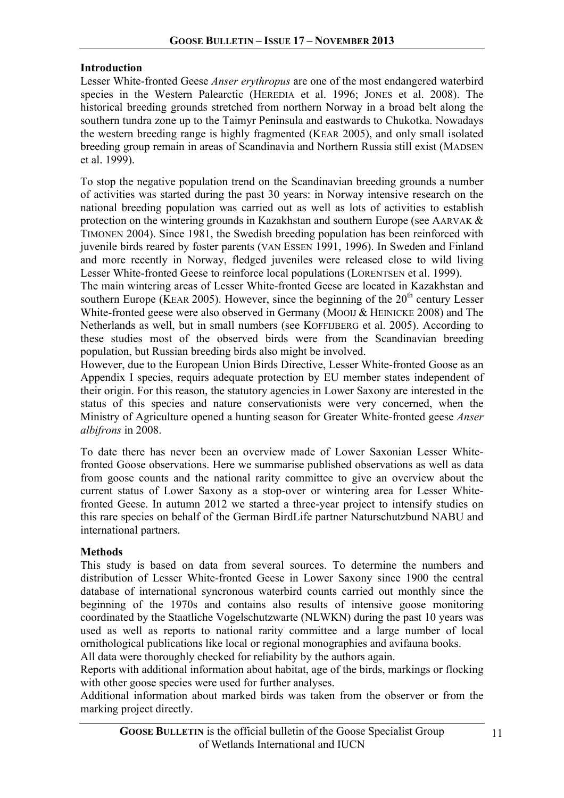## **Introduction**

Lesser White-fronted Geese *Anser erythropus* are one of the most endangered waterbird species in the Western Palearctic (HEREDIA et al. 1996; JONES et al. 2008). The historical breeding grounds stretched from northern Norway in a broad belt along the southern tundra zone up to the Taimyr Peninsula and eastwards to Chukotka. Nowadays the western breeding range is highly fragmented (KEAR 2005), and only small isolated breeding group remain in areas of Scandinavia and Northern Russia still exist (MADSEN et al. 1999).

To stop the negative population trend on the Scandinavian breeding grounds a number of activities was started during the past 30 years: in Norway intensive research on the national breeding population was carried out as well as lots of activities to establish protection on the wintering grounds in Kazakhstan and southern Europe (see AARVAK & TIMONEN 2004). Since 1981, the Swedish breeding population has been reinforced with juvenile birds reared by foster parents (VAN ESSEN 1991, 1996). In Sweden and Finland and more recently in Norway, fledged juveniles were released close to wild living Lesser White-fronted Geese to reinforce local populations (LORENTSEN et al. 1999).

The main wintering areas of Lesser White-fronted Geese are located in Kazakhstan and southern Europe (KEAR 2005). However, since the beginning of the  $20<sup>th</sup>$  century Lesser White-fronted geese were also observed in Germany (MOOIJ & HEINICKE 2008) and The Netherlands as well, but in small numbers (see KOFFIJBERG et al. 2005). According to these studies most of the observed birds were from the Scandinavian breeding population, but Russian breeding birds also might be involved.

However, due to the European Union Birds Directive, Lesser White-fronted Goose as an Appendix I species, requirs adequate protection by EU member states independent of their origin. For this reason, the statutory agencies in Lower Saxony are interested in the status of this species and nature conservationists were very concerned, when the Ministry of Agriculture opened a hunting season for Greater White-fronted geese *Anser albifrons* in 2008.

To date there has never been an overview made of Lower Saxonian Lesser Whitefronted Goose observations. Here we summarise published observations as well as data from goose counts and the national rarity committee to give an overview about the current status of Lower Saxony as a stop-over or wintering area for Lesser Whitefronted Geese. In autumn 2012 we started a three-year project to intensify studies on this rare species on behalf of the German BirdLife partner Naturschutzbund NABU and international partners.

## **Methods**

This study is based on data from several sources. To determine the numbers and distribution of Lesser White-fronted Geese in Lower Saxony since 1900 the central database of international syncronous waterbird counts carried out monthly since the beginning of the 1970s and contains also results of intensive goose monitoring coordinated by the Staatliche Vogelschutzwarte (NLWKN) during the past 10 years was used as well as reports to national rarity committee and a large number of local ornithological publications like local or regional monographies and avifauna books.

All data were thoroughly checked for reliability by the authors again.

Reports with additional information about habitat, age of the birds, markings or flocking with other goose species were used for further analyses.

Additional information about marked birds was taken from the observer or from the marking project directly.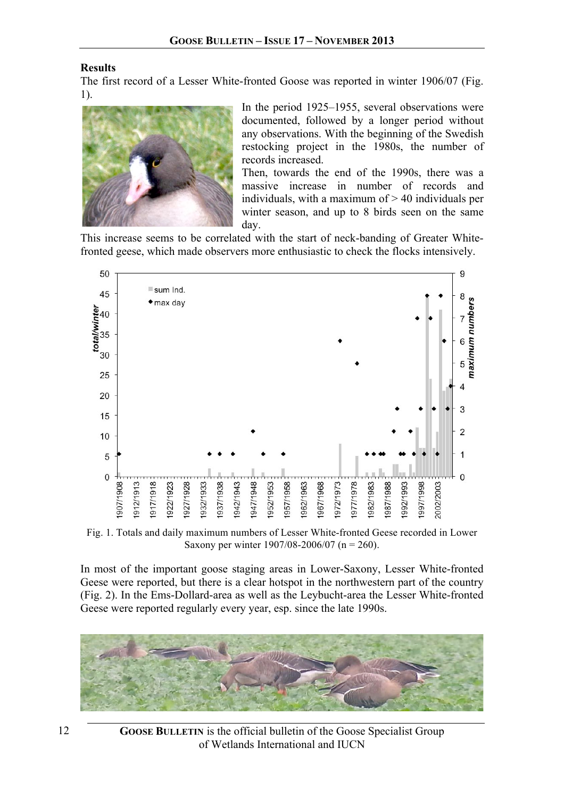### **Results**

The first record of a Lesser White-fronted Goose was reported in winter 1906/07 (Fig. 1).



In the period 1925–1955, several observations were documented, followed by a longer period without any observations. With the beginning of the Swedish restocking project in the 1980s, the number of records increased.

Then, towards the end of the 1990s, there was a massive increase in number of records and individuals, with a maximum of > 40 individuals per winter season, and up to 8 birds seen on the same day.

This increase seems to be correlated with the start of neck-banding of Greater Whitefronted geese, which made observers more enthusiastic to check the flocks intensively.



Fig. 1. Totals and daily maximum numbers of Lesser White-fronted Geese recorded in Lower Saxony per winter 1907/08-2006/07 (n = 260).

In most of the important goose staging areas in Lower-Saxony, Lesser White-fronted Geese were reported, but there is a clear hotspot in the northwestern part of the country (Fig. 2). In the Ems-Dollard-area as well as the Leybucht-area the Lesser White-fronted Geese were reported regularly every year, esp. since the late 1990s.

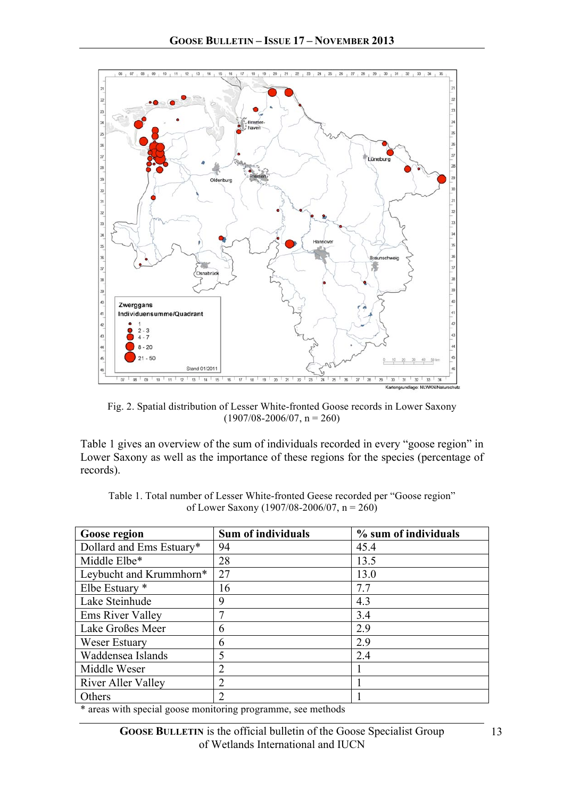

Fig. 2. Spatial distribution of Lesser White-fronted Goose records in Lower Saxony  $(1907/08-2006/07, n = 260)$ 

Table 1 gives an overview of the sum of individuals recorded in every "goose region" in Lower Saxony as well as the importance of these regions for the species (percentage of records).

| Goose region              | <b>Sum of individuals</b> | % sum of individuals |
|---------------------------|---------------------------|----------------------|
| Dollard and Ems Estuary*  | 94                        | 45.4                 |
| Middle Elbe*              | 28                        | 13.5                 |
| Leybucht and Krummhorn*   | 27                        | 13.0                 |
| Elbe Estuary *            | 16                        | 7.7                  |
| Lake Steinhude            | 9                         | 4.3                  |
| Ems River Valley          | 7                         | 3.4                  |
| Lake Großes Meer          | 6                         | 2.9                  |
| Weser Estuary             | 6                         | 2.9                  |
| Waddensea Islands         | 5                         | 2.4                  |
| Middle Weser              | $\overline{2}$            |                      |
| <b>River Aller Valley</b> | $\overline{2}$            |                      |
| Others                    | $\overline{2}$            |                      |

Table 1. Total number of Lesser White-fronted Geese recorded per "Goose region" of Lower Saxony (1907/08-2006/07,  $n = 260$ )

\* areas with special goose monitoring programme, see methods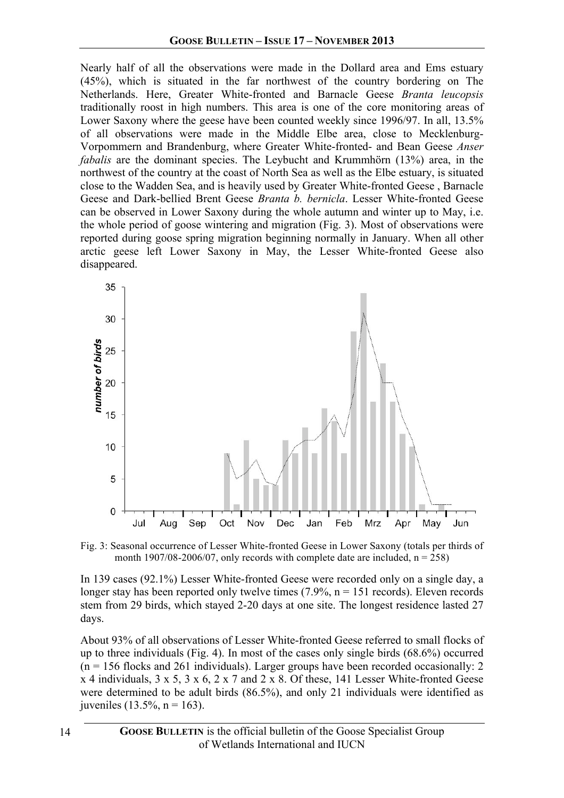Nearly half of all the observations were made in the Dollard area and Ems estuary (45%), which is situated in the far northwest of the country bordering on The Netherlands. Here, Greater White-fronted and Barnacle Geese *Branta leucopsis* traditionally roost in high numbers. This area is one of the core monitoring areas of Lower Saxony where the geese have been counted weekly since 1996/97. In all, 13.5% of all observations were made in the Middle Elbe area, close to Mecklenburg-Vorpommern and Brandenburg, where Greater White-fronted- and Bean Geese *Anser fabalis* are the dominant species. The Leybucht and Krummhörn (13%) area, in the northwest of the country at the coast of North Sea as well as the Elbe estuary, is situated close to the Wadden Sea, and is heavily used by Greater White-fronted Geese , Barnacle Geese and Dark-bellied Brent Geese *Branta b. bernicla*. Lesser White-fronted Geese can be observed in Lower Saxony during the whole autumn and winter up to May, i.e. the whole period of goose wintering and migration (Fig. 3). Most of observations were reported during goose spring migration beginning normally in January. When all other arctic geese left Lower Saxony in May, the Lesser White-fronted Geese also disappeared.



Fig. 3: Seasonal occurrence of Lesser White-fronted Geese in Lower Saxony (totals per thirds of month 1907/08-2006/07, only records with complete date are included,  $n = 258$ )

In 139 cases (92.1%) Lesser White-fronted Geese were recorded only on a single day, a longer stay has been reported only twelve times  $(7.9\%$ , n = 151 records). Eleven records stem from 29 birds, which stayed 2-20 days at one site. The longest residence lasted 27 days.

About 93% of all observations of Lesser White-fronted Geese referred to small flocks of up to three individuals (Fig. 4). In most of the cases only single birds (68.6%) occurred  $(n = 156$  flocks and 261 individuals). Larger groups have been recorded occasionally: 2 x 4 individuals, 3 x 5, 3 x 6, 2 x 7 and 2 x 8. Of these, 141 Lesser White-fronted Geese were determined to be adult birds (86.5%), and only 21 individuals were identified as juveniles (13.5%,  $n = 163$ ).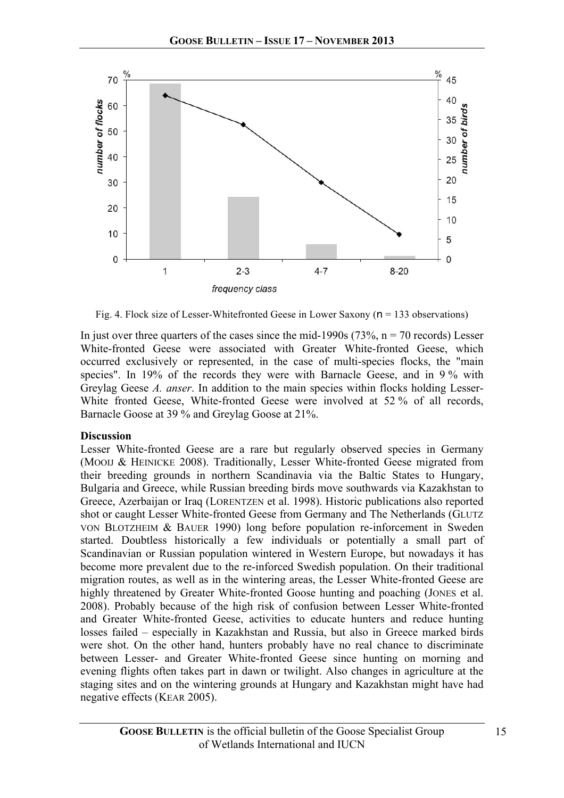

Fig. 4. Flock size of Lesser-Whitefronted Geese in Lower Saxony (n = 133 observations)

In just over three quarters of the cases since the mid-1990s ( $73\%$ ,  $n = 70$  records) Lesser White-fronted Geese were associated with Greater White-fronted Geese, which occurred exclusively or represented, in the case of multi-species flocks, the "main species". In 19% of the records they were with Barnacle Geese, and in 9 % with Greylag Geese *A. anser*. In addition to the main species within flocks holding Lesser-White fronted Geese, White-fronted Geese were involved at 52 % of all records, Barnacle Goose at 39 % and Greylag Goose at 21%.

## **Discussion**

Lesser White-fronted Geese are a rare but regularly observed species in Germany (MOOIJ & HEINICKE 2008). Traditionally, Lesser White-fronted Geese migrated from their breeding grounds in northern Scandinavia via the Baltic States to Hungary, Bulgaria and Greece, while Russian breeding birds move southwards via Kazakhstan to Greece, Azerbaijan or Iraq (LORENTZEN et al. 1998). Historic publications also reported shot or caught Lesser White-fronted Geese from Germany and The Netherlands (GLUTZ VON BLOTZHEIM & BAUER 1990) long before population re-inforcement in Sweden started. Doubtless historically a few individuals or potentially a small part of Scandinavian or Russian population wintered in Western Europe, but nowadays it has become more prevalent due to the re-inforced Swedish population. On their traditional migration routes, as well as in the wintering areas, the Lesser White-fronted Geese are highly threatened by Greater White-fronted Goose hunting and poaching (JONES et al. 2008). Probably because of the high risk of confusion between Lesser White-fronted and Greater White-fronted Geese, activities to educate hunters and reduce hunting losses failed – especially in Kazakhstan and Russia, but also in Greece marked birds were shot. On the other hand, hunters probably have no real chance to discriminate between Lesser- and Greater White-fronted Geese since hunting on morning and evening flights often takes part in dawn or twilight. Also changes in agriculture at the staging sites and on the wintering grounds at Hungary and Kazakhstan might have had negative effects (KEAR 2005).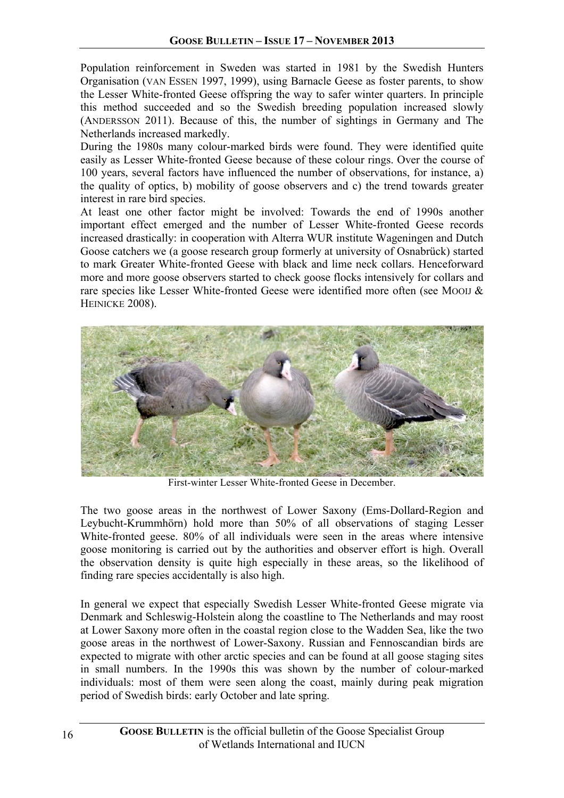Population reinforcement in Sweden was started in 1981 by the Swedish Hunters Organisation (VAN ESSEN 1997, 1999), using Barnacle Geese as foster parents, to show the Lesser White-fronted Geese offspring the way to safer winter quarters. In principle this method succeeded and so the Swedish breeding population increased slowly (ANDERSSON 2011). Because of this, the number of sightings in Germany and The Netherlands increased markedly.

During the 1980s many colour-marked birds were found. They were identified quite easily as Lesser White-fronted Geese because of these colour rings. Over the course of 100 years, several factors have influenced the number of observations, for instance, a) the quality of optics, b) mobility of goose observers and c) the trend towards greater interest in rare bird species.

At least one other factor might be involved: Towards the end of 1990s another important effect emerged and the number of Lesser White-fronted Geese records increased drastically: in cooperation with Alterra WUR institute Wageningen and Dutch Goose catchers we (a goose research group formerly at university of Osnabrück) started to mark Greater White-fronted Geese with black and lime neck collars. Henceforward more and more goose observers started to check goose flocks intensively for collars and rare species like Lesser White-fronted Geese were identified more often (see MOOIJ & HEINICKE 2008).



First-winter Lesser White-fronted Geese in December.

The two goose areas in the northwest of Lower Saxony (Ems-Dollard-Region and Leybucht-Krummhörn) hold more than 50% of all observations of staging Lesser White-fronted geese. 80% of all individuals were seen in the areas where intensive goose monitoring is carried out by the authorities and observer effort is high. Overall the observation density is quite high especially in these areas, so the likelihood of finding rare species accidentally is also high.

In general we expect that especially Swedish Lesser White-fronted Geese migrate via Denmark and Schleswig-Holstein along the coastline to The Netherlands and may roost at Lower Saxony more often in the coastal region close to the Wadden Sea, like the two goose areas in the northwest of Lower-Saxony. Russian and Fennoscandian birds are expected to migrate with other arctic species and can be found at all goose staging sites in small numbers. In the 1990s this was shown by the number of colour-marked individuals: most of them were seen along the coast, mainly during peak migration period of Swedish birds: early October and late spring.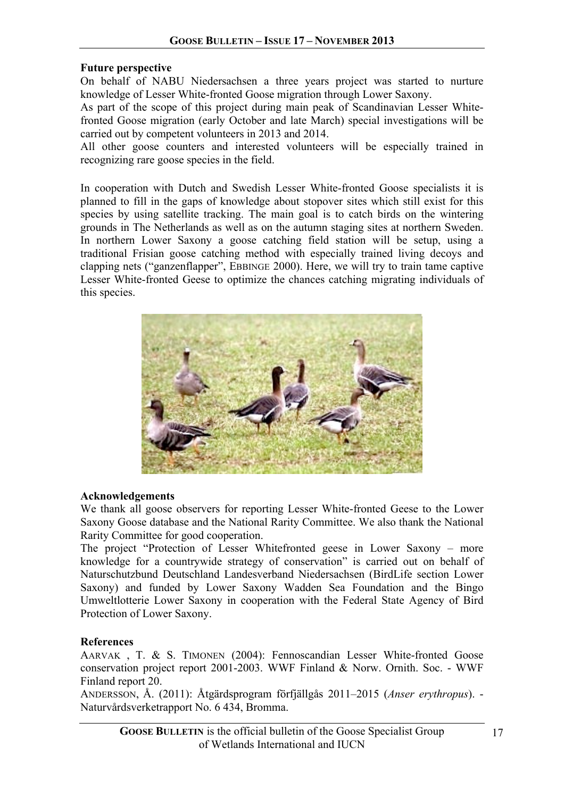### **Future perspective**

On behalf of NABU Niedersachsen a three years project was started to nurture knowledge of Lesser White-fronted Goose migration through Lower Saxony.

As part of the scope of this project during main peak of Scandinavian Lesser Whitefronted Goose migration (early October and late March) special investigations will be carried out by competent volunteers in 2013 and 2014.

All other goose counters and interested volunteers will be especially trained in recognizing rare goose species in the field.

In cooperation with Dutch and Swedish Lesser White-fronted Goose specialists it is planned to fill in the gaps of knowledge about stopover sites which still exist for this species by using satellite tracking. The main goal is to catch birds on the wintering grounds in The Netherlands as well as on the autumn staging sites at northern Sweden. In northern Lower Saxony a goose catching field station will be setup, using a traditional Frisian goose catching method with especially trained living decoys and clapping nets ("ganzenflapper", EBBINGE 2000). Here, we will try to train tame captive Lesser White-fronted Geese to optimize the chances catching migrating individuals of this species.



### **Acknowledgements**

We thank all goose observers for reporting Lesser White-fronted Geese to the Lower Saxony Goose database and the National Rarity Committee. We also thank the National Rarity Committee for good cooperation.

The project "Protection of Lesser Whitefronted geese in Lower Saxony – more knowledge for a countrywide strategy of conservation" is carried out on behalf of Naturschutzbund Deutschland Landesverband Niedersachsen (BirdLife section Lower Saxony) and funded by Lower Saxony Wadden Sea Foundation and the Bingo Umweltlotterie Lower Saxony in cooperation with the Federal State Agency of Bird Protection of Lower Saxony.

### **References**

AARVAK , T. & S. TIMONEN (2004): Fennoscandian Lesser White-fronted Goose conservation project report 2001-2003. WWF Finland & Norw. Ornith. Soc. - WWF Finland report 20.

ANDERSSON, Å. (2011): Åtgärdsprogram förfjällgås 2011–2015 (*Anser erythropus*). - Naturvårdsverketrapport No. 6 434, Bromma.